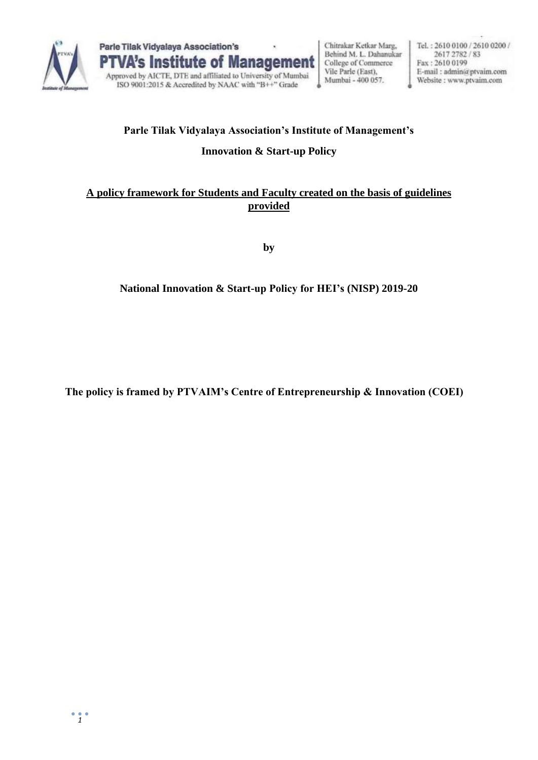



Chitrakar Ketkar Marg, Behind M. L. Dahanukar College of Commerce Vile Parle (East). Mumbai - 400 057.

Tel.: 2610 0100 / 2610 0200 / 2617 2782 / 83 Fax: 2610 0199 E-mail: admin@ptvaim.com Website : www.ptvaim.com

# **Parle Tilak Vidyalaya Association's Institute of Management's Innovation & Start-up Policy**

### **A policy framework for Students and Faculty created on the basis of guidelines provided**

**by**

## **National Innovation & Start-up Policy for HEI's (NISP) 2019-20**

**The policy is framed by PTVAIM's Centre of Entrepreneurship & Innovation (COEI)**

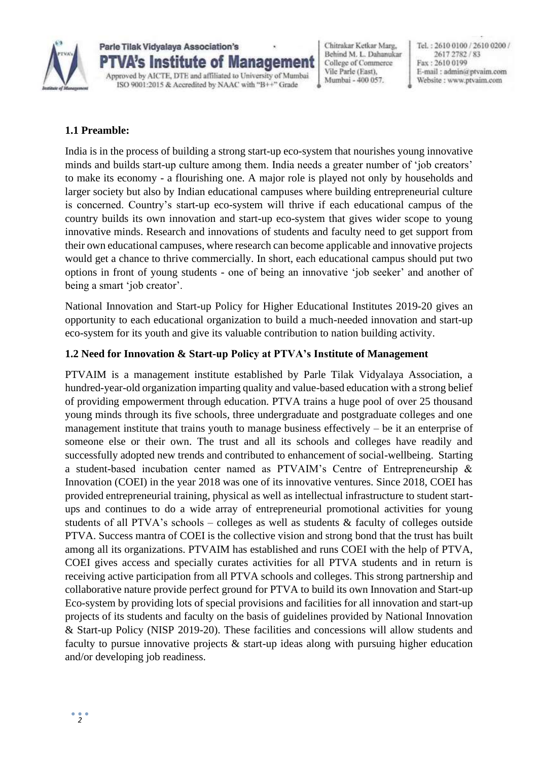

**Parle Tilak Vidvalava Association's** VA's Institute of Management Approved by AICTE, DTE and affiliated to University of Mumbai ISO 9001:2015 & Accredited by NAAC with "B++" Grade

Chitrakar Ketkar Marg, Behind M. L. Dahanukar College of Commerce Vile Parle (East). Mumbai - 400 057.

Tel.: 2610 0100 / 2610 0200 / 2617 2782 / 83 Fax: 2610 0199 E-mail: admin@ptvaim.com Website : www.ptvaim.com

#### **1.1 Preamble:**

India is in the process of building a strong start-up eco-system that nourishes young innovative minds and builds start-up culture among them. India needs a greater number of 'job creators' to make its economy - a flourishing one. A major role is played not only by households and larger society but also by Indian educational campuses where building entrepreneurial culture is concerned. Country's start-up eco-system will thrive if each educational campus of the country builds its own innovation and start-up eco-system that gives wider scope to young innovative minds. Research and innovations of students and faculty need to get support from their own educational campuses, where research can become applicable and innovative projects would get a chance to thrive commercially. In short, each educational campus should put two options in front of young students - one of being an innovative 'job seeker' and another of being a smart 'job creator'.

National Innovation and Start-up Policy for Higher Educational Institutes 2019-20 gives an opportunity to each educational organization to build a much-needed innovation and start-up eco-system for its youth and give its valuable contribution to nation building activity.

#### **1.2 Need for Innovation & Start-up Policy at PTVA's Institute of Management**

PTVAIM is a management institute established by Parle Tilak Vidyalaya Association, a hundred-year-old organization imparting quality and value-based education with a strong belief of providing empowerment through education. PTVA trains a huge pool of over 25 thousand young minds through its five schools, three undergraduate and postgraduate colleges and one management institute that trains youth to manage business effectively – be it an enterprise of someone else or their own. The trust and all its schools and colleges have readily and successfully adopted new trends and contributed to enhancement of social-wellbeing. Starting a student-based incubation center named as PTVAIM's Centre of Entrepreneurship & Innovation (COEI) in the year 2018 was one of its innovative ventures. Since 2018, COEI has provided entrepreneurial training, physical as well as intellectual infrastructure to student startups and continues to do a wide array of entrepreneurial promotional activities for young students of all PTVA's schools – colleges as well as students & faculty of colleges outside PTVA. Success mantra of COEI is the collective vision and strong bond that the trust has built among all its organizations. PTVAIM has established and runs COEI with the help of PTVA, COEI gives access and specially curates activities for all PTVA students and in return is receiving active participation from all PTVA schools and colleges. This strong partnership and collaborative nature provide perfect ground for PTVA to build its own Innovation and Start-up Eco-system by providing lots of special provisions and facilities for all innovation and start-up projects of its students and faculty on the basis of guidelines provided by National Innovation & Start-up Policy (NISP 2019-20). These facilities and concessions will allow students and faculty to pursue innovative projects & start-up ideas along with pursuing higher education and/or developing job readiness.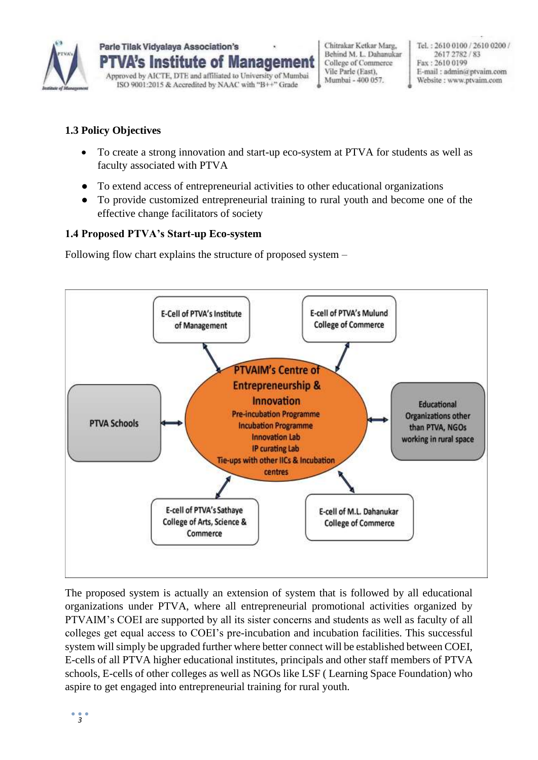

Chitrakar Ketkar Marg, Behind M. L. Dahanukar College of Commerce Vile Parle (East). Mumbai - 400 057.

Tel.: 2610 0100 / 2610 0200 / 2617 2782 / 83 Fax: 2610 0199 E-mail: admin@ptvaim.com Website : www.ptvaim.com

### **1.3 Policy Objectives**

- To create a strong innovation and start-up eco-system at PTVA for students as well as faculty associated with PTVA
- To extend access of entrepreneurial activities to other educational organizations
- To provide customized entrepreneurial training to rural youth and become one of the effective change facilitators of society

#### **1.4 Proposed PTVA's Start-up Eco-system**

Following flow chart explains the structure of proposed system –



The proposed system is actually an extension of system that is followed by all educational organizations under PTVA, where all entrepreneurial promotional activities organized by PTVAIM's COEI are supported by all its sister concerns and students as well as faculty of all colleges get equal access to COEI's pre-incubation and incubation facilities. This successful system will simply be upgraded further where better connect will be established between COEI, E-cells of all PTVA higher educational institutes, principals and other staff members of PTVA schools, E-cells of other colleges as well as NGOs like LSF ( Learning Space Foundation) who aspire to get engaged into entrepreneurial training for rural youth.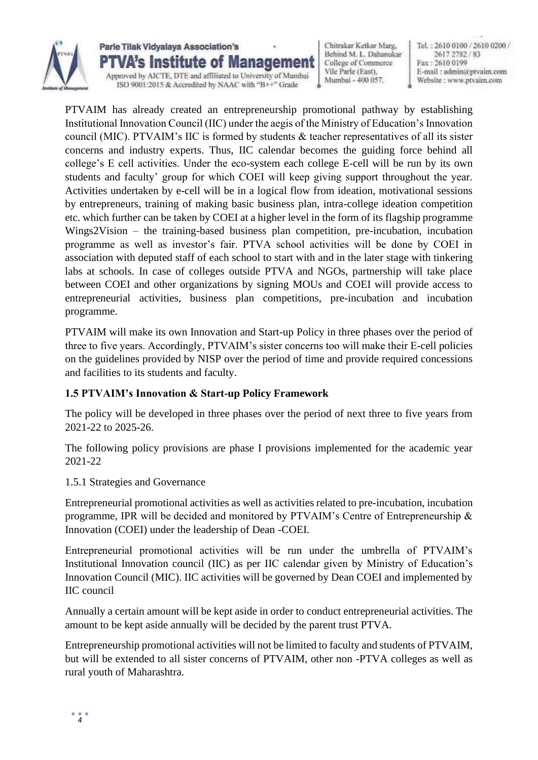

**Parle Tilak Vidvalava Association's** VA's Institute of Management Approved by AICTE, DTE and affiliated to University of Mumbai ISO 9001:2015 & Accredited by NAAC with "B++" Grade

Chitrakar Ketkar Marg, Behind M. L. Dahanukar College of Commerce Vile Parle (East). Mumbai - 400 057.

Tel.: 2610 0100 / 2610 0200 / 2617 2782 / 83 Fax: 2610 0199 E-mail: admin@ptvaim.com Website : www.ptvaim.com

PTVAIM has already created an entrepreneurship promotional pathway by establishing Institutional Innovation Council (IIC) under the aegis of the Ministry of Education's Innovation council (MIC). PTVAIM's IIC is formed by students & teacher representatives of all its sister concerns and industry experts. Thus, IIC calendar becomes the guiding force behind all college's E cell activities. Under the eco-system each college E-cell will be run by its own students and faculty' group for which COEI will keep giving support throughout the year. Activities undertaken by e-cell will be in a logical flow from ideation, motivational sessions by entrepreneurs, training of making basic business plan, intra-college ideation competition etc. which further can be taken by COEI at a higher level in the form of its flagship programme Wings2Vision – the training-based business plan competition, pre-incubation, incubation programme as well as investor's fair. PTVA school activities will be done by COEI in association with deputed staff of each school to start with and in the later stage with tinkering labs at schools. In case of colleges outside PTVA and NGOs, partnership will take place between COEI and other organizations by signing MOUs and COEI will provide access to entrepreneurial activities, business plan competitions, pre-incubation and incubation programme.

PTVAIM will make its own Innovation and Start-up Policy in three phases over the period of three to five years. Accordingly, PTVAIM's sister concerns too will make their E-cell policies on the guidelines provided by NISP over the period of time and provide required concessions and facilities to its students and faculty.

#### **1.5 PTVAIM's Innovation & Start-up Policy Framework**

The policy will be developed in three phases over the period of next three to five years from 2021-22 to 2025-26.

The following policy provisions are phase I provisions implemented for the academic year 2021-22

#### 1.5.1 Strategies and Governance

Entrepreneurial promotional activities as well as activities related to pre-incubation, incubation programme, IPR will be decided and monitored by PTVAIM's Centre of Entrepreneurship & Innovation (COEI) under the leadership of Dean -COEI.

Entrepreneurial promotional activities will be run under the umbrella of PTVAIM's Institutional Innovation council (IIC) as per IIC calendar given by Ministry of Education's Innovation Council (MIC). IIC activities will be governed by Dean COEI and implemented by IIC council

Annually a certain amount will be kept aside in order to conduct entrepreneurial activities. The amount to be kept aside annually will be decided by the parent trust PTVA.

Entrepreneurship promotional activities will not be limited to faculty and students of PTVAIM, but will be extended to all sister concerns of PTVAIM, other non -PTVA colleges as well as rural youth of Maharashtra.

 $\ddot{\phantom{0}}_4$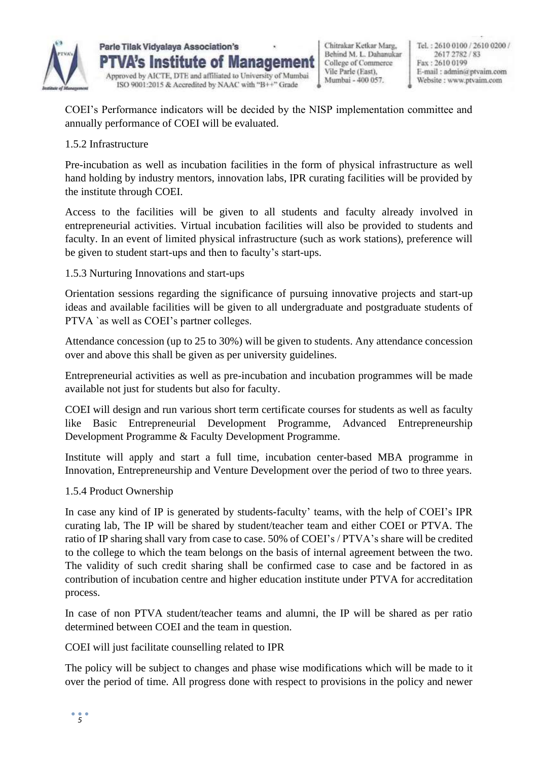

**Parle Tilak Vidvalava Association's** VA's Institute of Management Approved by AICTE, DTE and affiliated to University of Mumbai ISO 9001:2015 & Accredited by NAAC with "B++" Grade

Chitrakar Ketkar Marg, Behind M. L. Dahanukar College of Commerce Vile Parle (East). Mumbai - 400 057.

Tel.: 2610 0100 / 2610 0200 / 2617 2782 / 83 Fax: 2610 0199 E-mail: admin@ptvaim.com Website : www.ptvaim.com

COEI's Performance indicators will be decided by the NISP implementation committee and annually performance of COEI will be evaluated.

#### 1.5.2 Infrastructure

Pre-incubation as well as incubation facilities in the form of physical infrastructure as well hand holding by industry mentors, innovation labs, IPR curating facilities will be provided by the institute through COEI.

Access to the facilities will be given to all students and faculty already involved in entrepreneurial activities. Virtual incubation facilities will also be provided to students and faculty. In an event of limited physical infrastructure (such as work stations), preference will be given to student start-ups and then to faculty's start-ups.

#### 1.5.3 Nurturing Innovations and start-ups

Orientation sessions regarding the significance of pursuing innovative projects and start-up ideas and available facilities will be given to all undergraduate and postgraduate students of PTVA `as well as COEI's partner colleges.

Attendance concession (up to 25 to 30%) will be given to students. Any attendance concession over and above this shall be given as per university guidelines.

Entrepreneurial activities as well as pre-incubation and incubation programmes will be made available not just for students but also for faculty.

COEI will design and run various short term certificate courses for students as well as faculty like Basic Entrepreneurial Development Programme, Advanced Entrepreneurship Development Programme & Faculty Development Programme.

Institute will apply and start a full time, incubation center-based MBA programme in Innovation, Entrepreneurship and Venture Development over the period of two to three years.

#### 1.5.4 Product Ownership

In case any kind of IP is generated by students-faculty' teams, with the help of COEI's IPR curating lab, The IP will be shared by student/teacher team and either COEI or PTVA. The ratio of IP sharing shall vary from case to case. 50% of COEI's / PTVA's share will be credited to the college to which the team belongs on the basis of internal agreement between the two. The validity of such credit sharing shall be confirmed case to case and be factored in as contribution of incubation centre and higher education institute under PTVA for accreditation process.

In case of non PTVA student/teacher teams and alumni, the IP will be shared as per ratio determined between COEI and the team in question.

COEI will just facilitate counselling related to IPR

The policy will be subject to changes and phase wise modifications which will be made to it over the period of time. All progress done with respect to provisions in the policy and newer

*5*